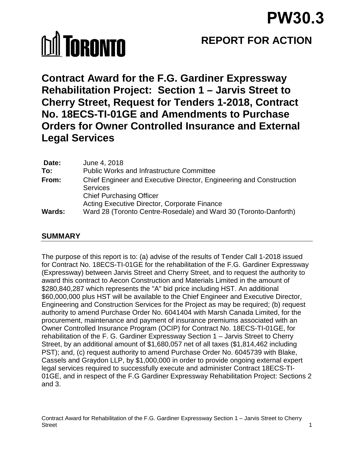# **MI TORONTO**

## **REPORT FOR ACTION**

**Contract Award for the F.G. Gardiner Expressway Rehabilitation Project: Section 1 – Jarvis Street to Cherry Street, Request for Tenders 1-2018, Contract No. 18ECS-TI-01GE and Amendments to Purchase Orders for Owner Controlled Insurance and External Legal Services**

| Date:         | June 4, 2018                                                        |
|---------------|---------------------------------------------------------------------|
| To:           | <b>Public Works and Infrastructure Committee</b>                    |
| From:         | Chief Engineer and Executive Director, Engineering and Construction |
|               | <b>Services</b>                                                     |
|               | <b>Chief Purchasing Officer</b>                                     |
|               | Acting Executive Director, Corporate Finance                        |
| <b>Wards:</b> | Ward 28 (Toronto Centre-Rosedale) and Ward 30 (Toronto-Danforth)    |

## **SUMMARY**

The purpose of this report is to: (a) advise of the results of Tender Call 1-2018 issued for Contract No. 18ECS-TI-01GE for the rehabilitation of the F.G. Gardiner Expressway (Expressway) between Jarvis Street and Cherry Street, and to request the authority to award this contract to Aecon Construction and Materials Limited in the amount of \$280,840,287 which represents the "A" bid price including HST. An additional \$60,000,000 plus HST will be available to the Chief Engineer and Executive Director, Engineering and Construction Services for the Project as may be required; (b) request authority to amend Purchase Order No. 6041404 with Marsh Canada Limited, for the procurement, maintenance and payment of insurance premiums associated with an Owner Controlled Insurance Program (OCIP) for Contract No. 18ECS-TI-01GE, for rehabilitation of the F. G. Gardiner Expressway Section 1 – Jarvis Street to Cherry Street, by an additional amount of \$1,680,057 net of all taxes (\$1,814,462 including PST); and, (c) request authority to amend Purchase Order No. 6045739 with Blake, Cassels and Graydon LLP, by \$1,000,000 in order to provide ongoing external expert legal services required to successfully execute and administer Contract 18ECS-TI-01GE, and in respect of the F.G Gardiner Expressway Rehabilitation Project: Sections 2 and 3.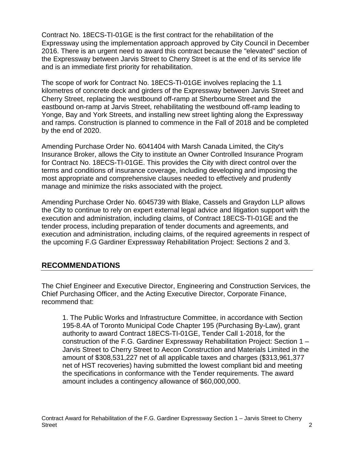Contract No. 18ECS-TI-01GE is the first contract for the rehabilitation of the Expressway using the implementation approach approved by City Council in December 2016. There is an urgent need to award this contract because the "elevated" section of the Expressway between Jarvis Street to Cherry Street is at the end of its service life and is an immediate first priority for rehabilitation.

The scope of work for Contract No. 18ECS-TI-01GE involves replacing the 1.1 kilometres of concrete deck and girders of the Expressway between Jarvis Street and Cherry Street, replacing the westbound off-ramp at Sherbourne Street and the eastbound on-ramp at Jarvis Street, rehabilitating the westbound off-ramp leading to Yonge, Bay and York Streets, and installing new street lighting along the Expressway and ramps. Construction is planned to commence in the Fall of 2018 and be completed by the end of 2020.

Amending Purchase Order No. 6041404 with Marsh Canada Limited, the City's Insurance Broker, allows the City to institute an Owner Controlled Insurance Program for Contract No. 18ECS-TI-01GE. This provides the City with direct control over the terms and conditions of insurance coverage, including developing and imposing the most appropriate and comprehensive clauses needed to effectively and prudently manage and minimize the risks associated with the project.

Amending Purchase Order No. 6045739 with Blake, Cassels and Graydon LLP allows the City to continue to rely on expert external legal advice and litigation support with the execution and administration, including claims, of Contract 18ECS-TI-01GE and the tender process, including preparation of tender documents and agreements, and execution and administration, including claims, of the required agreements in respect of the upcoming F.G Gardiner Expressway Rehabilitation Project: Sections 2 and 3.

#### **RECOMMENDATIONS**

The Chief Engineer and Executive Director, Engineering and Construction Services, the Chief Purchasing Officer, and the Acting Executive Director, Corporate Finance, recommend that:

1. The Public Works and Infrastructure Committee, in accordance with Section 195-8.4A of Toronto Municipal Code Chapter 195 (Purchasing By-Law), grant authority to award Contract 18ECS-TI-01GE, Tender Call 1-2018, for the construction of the F.G. Gardiner Expressway Rehabilitation Project: Section 1 – Jarvis Street to Cherry Street to Aecon Construction and Materials Limited in the amount of \$308,531,227 net of all applicable taxes and charges (\$313,961,377 net of HST recoveries) having submitted the lowest compliant bid and meeting the specifications in conformance with the Tender requirements. The award amount includes a contingency allowance of \$60,000,000.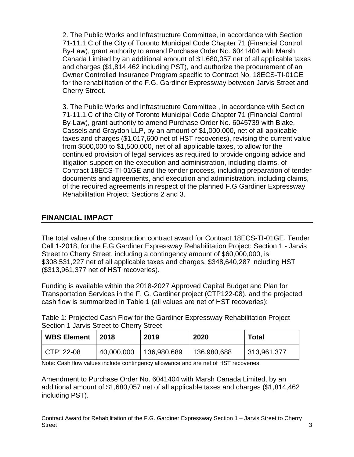2. The Public Works and Infrastructure Committee, in accordance with Section 71-11.1.C of the City of Toronto Municipal Code Chapter 71 (Financial Control By-Law), grant authority to amend Purchase Order No. 6041404 with Marsh Canada Limited by an additional amount of \$1,680,057 net of all applicable taxes and charges (\$1,814,462 including PST), and authorize the procurement of an Owner Controlled Insurance Program specific to Contract No. 18ECS-TI-01GE for the rehabilitation of the F.G. Gardiner Expressway between Jarvis Street and Cherry Street.

3. The Public Works and Infrastructure Committee , in accordance with Section 71-11.1.C of the City of Toronto Municipal Code Chapter 71 (Financial Control By-Law), grant authority to amend Purchase Order No. 6045739 with Blake, Cassels and Graydon LLP, by an amount of \$1,000,000, net of all applicable taxes and charges (\$1,017,600 net of HST recoveries), revising the current value from \$500,000 to \$1,500,000, net of all applicable taxes, to allow for the continued provision of legal services as required to provide ongoing advice and litigation support on the execution and administration, including claims, of Contract 18ECS-TI-01GE and the tender process, including preparation of tender documents and agreements, and execution and administration, including claims, of the required agreements in respect of the planned F.G Gardiner Expressway Rehabilitation Project: Sections 2 and 3.

## **FINANCIAL IMPACT**

The total value of the construction contract award for Contract 18ECS-TI-01GE, Tender Call 1-2018, for the F.G Gardiner Expressway Rehabilitation Project: Section 1 - Jarvis Street to Cherry Street, including a contingency amount of \$60,000,000, is \$308,531,227 net of all applicable taxes and charges, \$348,640,287 including HST (\$313,961,377 net of HST recoveries).

Funding is available within the 2018-2027 Approved Capital Budget and Plan for Transportation Services in the F. G. Gardiner project (CTP122-08), and the projected cash flow is summarized in Table 1 (all values are net of HST recoveries):

Table 1: Projected Cash Flow for the Gardiner Expressway Rehabilitation Project Section 1 Jarvis Street to Cherry Street

| <b>WBS Element</b> | 2018       | 2019        | 2020        | Total       |
|--------------------|------------|-------------|-------------|-------------|
| CTP122-08          | 40,000,000 | 136,980,689 | 136,980,688 | 313,961,377 |

Note: Cash flow values include contingency allowance and are net of HST recoveries

Amendment to Purchase Order No. 6041404 with Marsh Canada Limited, by an additional amount of \$1,680,057 net of all applicable taxes and charges (\$1,814,462 including PST).

Contract Award for Rehabilitation of the F.G. Gardiner Expressway Section 1 – Jarvis Street to Cherry Street 3 and 3 and 3 and 3 and 3 and 3 and 3 and 3 and 3 and 3 and 3 and 3 and 3 and 3 and 3 and 3 and 3 and 3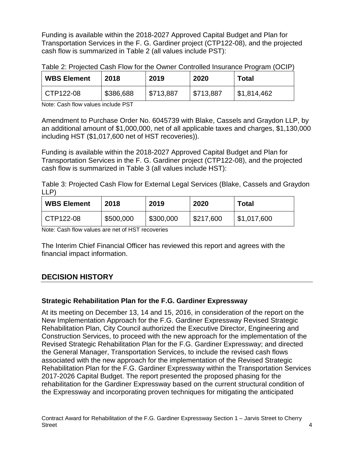Funding is available within the 2018-2027 Approved Capital Budget and Plan for Transportation Services in the F. G. Gardiner project (CTP122-08), and the projected cash flow is summarized in Table 2 (all values include PST):

| <b>WBS Element</b> | 2018      | 2019      | 2020      | Total       |
|--------------------|-----------|-----------|-----------|-------------|
| CTP122-08          | \$386,688 | \$713,887 | \$713,887 | \$1,814,462 |

Table 2: Projected Cash Flow for the Owner Controlled Insurance Program (OCIP)

Note: Cash flow values include PST

Amendment to Purchase Order No. 6045739 with Blake, Cassels and Graydon LLP, by an additional amount of \$1,000,000, net of all applicable taxes and charges, \$1,130,000 including HST (\$1,017,600 net of HST recoveries)).

Funding is available within the 2018-2027 Approved Capital Budget and Plan for Transportation Services in the F. G. Gardiner project (CTP122-08), and the projected cash flow is summarized in Table 3 (all values include HST):

Table 3: Projected Cash Flow for External Legal Services (Blake, Cassels and Graydon LLP)

| <b>WBS Element</b> | 2018      | 2019      | 2020      | <b>Total</b> |
|--------------------|-----------|-----------|-----------|--------------|
| CTP122-08          | \$500,000 | \$300,000 | \$217,600 | 51,017,600   |

Note: Cash flow values are net of HST recoveries

The Interim Chief Financial Officer has reviewed this report and agrees with the financial impact information.

## **DECISION HISTORY**

## **Strategic Rehabilitation Plan for the F.G. Gardiner Expressway**

At its meeting on December 13, 14 and 15, 2016, in consideration of the report on the New Implementation Approach for the F.G. Gardiner Expressway Revised Strategic Rehabilitation Plan, City Council authorized the Executive Director, Engineering and Construction Services, to proceed with the new approach for the implementation of the Revised Strategic Rehabilitation Plan for the F.G. Gardiner Expressway; and directed the General Manager, Transportation Services, to include the revised cash flows associated with the new approach for the implementation of the Revised Strategic Rehabilitation Plan for the F.G. Gardiner Expressway within the Transportation Services 2017-2026 Capital Budget. The report presented the proposed phasing for the rehabilitation for the Gardiner Expressway based on the current structural condition of the Expressway and incorporating proven techniques for mitigating the anticipated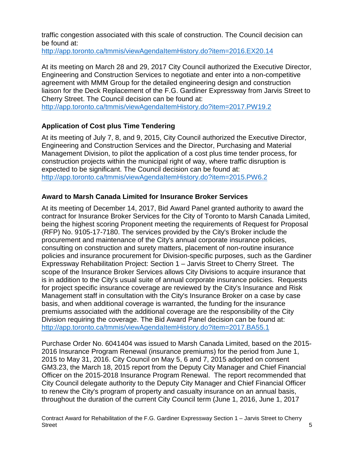traffic congestion associated with this scale of construction. The Council decision can be found at:

<http://app.toronto.ca/tmmis/viewAgendaItemHistory.do?item=2016.EX20.14>

At its meeting on March 28 and 29, 2017 City Council authorized the Executive Director, Engineering and Construction Services to negotiate and enter into a non-competitive agreement with MMM Group for the detailed engineering design and construction liaison for the Deck Replacement of the F.G. Gardiner Expressway from Jarvis Street to Cherry Street. The Council decision can be found at: <http://app.toronto.ca/tmmis/viewAgendaItemHistory.do?item=2017.PW19.2>

## **Application of Cost plus Time Tendering**

At its meeting of July 7, 8, and 9, 2015, City Council authorized the Executive Director, Engineering and Construction Services and the Director, Purchasing and Material Management Division, to pilot the application of a cost plus time tender process, for construction projects within the municipal right of way, where traffic disruption is expected to be significant. The Council decision can be found at: <http://app.toronto.ca/tmmis/viewAgendaItemHistory.do?item=2015.PW6.2>

## **Award to Marsh Canada Limited for Insurance Broker Services**

At its meeting of December 14, 2017, Bid Award Panel granted authority to award the contract for Insurance Broker Services for the City of Toronto to Marsh Canada Limited, being the highest scoring Proponent meeting the requirements of Request for Proposal (RFP) No. 9105-17-7180. The services provided by the City's Broker include the procurement and maintenance of the City's annual corporate insurance policies, consulting on construction and surety matters, placement of non-routine insurance policies and insurance procurement for Division-specific purposes, such as the Gardiner Expressway Rehabilitation Project: Section 1 – Jarvis Street to Cherry Street. The scope of the Insurance Broker Services allows City Divisions to acquire insurance that is in addition to the City's usual suite of annual corporate insurance policies. Requests for project specific insurance coverage are reviewed by the City's Insurance and Risk Management staff in consultation with the City's Insurance Broker on a case by case basis, and when additional coverage is warranted, the funding for the insurance premiums associated with the additional coverage are the responsibility of the City Division requiring the coverage. The Bid Award Panel decision can be found at: <http://app.toronto.ca/tmmis/viewAgendaItemHistory.do?item=2017.BA55.1>

Purchase Order No. 6041404 was issued to Marsh Canada Limited, based on the 2015- 2016 Insurance Program Renewal (insurance premiums) for the period from June 1, 2015 to May 31, 2016. City Council on May 5, 6 and 7, 2015 adopted on consent GM3.23, the March 18, 2015 report from the Deputy City Manager and Chief Financial Officer on the 2015-2018 Insurance Program Renewal. The report recommended that City Council delegate authority to the Deputy City Manager and Chief Financial Officer to renew the City's program of property and casualty insurance on an annual basis, throughout the duration of the current City Council term (June 1, 2016, June 1, 2017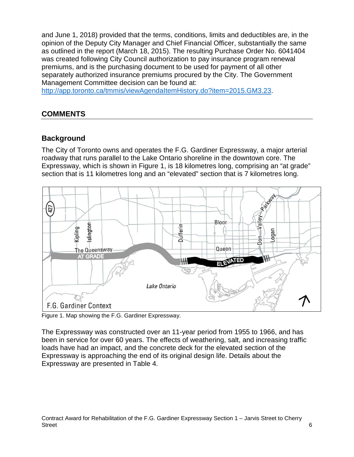and June 1, 2018) provided that the terms, conditions, limits and deductibles are, in the opinion of the Deputy City Manager and Chief Financial Officer, substantially the same as outlined in the report (March 18, 2015). The resulting Purchase Order No. 6041404 was created following City Council authorization to pay insurance program renewal premiums, and is the purchasing document to be used for payment of all other separately authorized insurance premiums procured by the City. The Government Management Committee decision can be found at:

[http://app.toronto.ca/tmmis/viewAgendaItemHistory.do?item=2015.GM3.23.](http://app.toronto.ca/tmmis/viewAgendaItemHistory.do?item=2015.GM3.23)

## **COMMENTS**

## **Background**

The City of Toronto owns and operates the F.G. Gardiner Expressway, a major arterial roadway that runs parallel to the Lake Ontario shoreline in the downtown core. The Expressway, which is shown in Figure 1, is 18 kilometres long, comprising an "at grade" section that is 11 kilometres long and an "elevated" section that is 7 kilometres long.



Figure 1. Map showing the F.G. Gardiner Expressway.

The Expressway was constructed over an 11-year period from 1955 to 1966, and has been in service for over 60 years. The effects of weathering, salt, and increasing traffic loads have had an impact, and the concrete deck for the elevated section of the Expressway is approaching the end of its original design life. Details about the Expressway are presented in Table 4.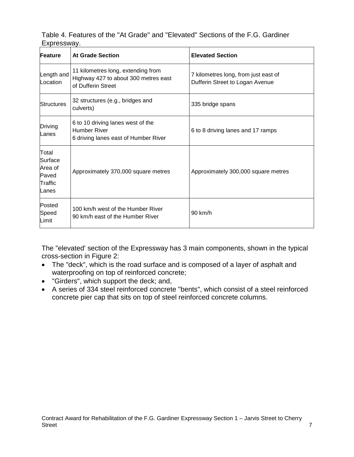| Table 4. Features of the "At Grade" and "Elevated" Sections of the F.G. Gardiner |  |  |  |
|----------------------------------------------------------------------------------|--|--|--|
| Expressway.                                                                      |  |  |  |

| Feature                                                  | <b>At Grade Section</b>                                                                          | <b>Elevated Section</b>                                                 |
|----------------------------------------------------------|--------------------------------------------------------------------------------------------------|-------------------------------------------------------------------------|
| Length and<br>Location                                   | 11 kilometres long, extending from<br>Highway 427 to about 300 metres east<br>of Dufferin Street | 7 kilometres long, from just east of<br>Dufferin Street to Logan Avenue |
| <b>Structures</b>                                        | 32 structures (e.g., bridges and<br>culverts)                                                    | 335 bridge spans                                                        |
| Driving<br>Lanes                                         | 6 to 10 driving lanes west of the<br><b>Humber River</b><br>6 driving lanes east of Humber River | 6 to 8 driving lanes and 17 ramps                                       |
| Total<br>Surface<br>Area of<br>Paved<br>Traffic<br>Lanes | Approximately 370,000 square metres                                                              | Approximately 300,000 square metres                                     |
| Posted<br>Speed<br>Limit                                 | 100 km/h west of the Humber River<br>90 km/h east of the Humber River                            | 90 km/h                                                                 |

The "elevated' section of the Expressway has 3 main components, shown in the typical cross-section in Figure 2:

- The "deck", which is the road surface and is composed of a layer of asphalt and waterproofing on top of reinforced concrete;
- "Girders", which support the deck; and,
- A series of 334 steel reinforced concrete "bents", which consist of a steel reinforced concrete pier cap that sits on top of steel reinforced concrete columns.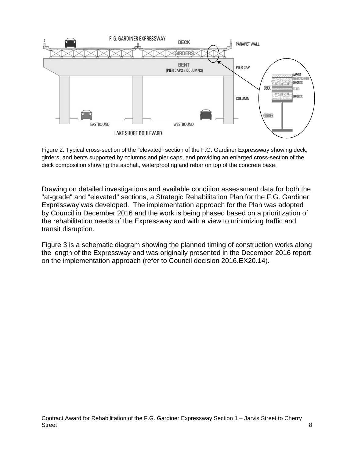

Figure 2. Typical cross-section of the "elevated" section of the F.G. Gardiner Expressway showing deck, girders, and bents supported by columns and pier caps, and providing an enlarged cross-section of the deck composition showing the asphalt, waterproofing and rebar on top of the concrete base.

Drawing on detailed investigations and available condition assessment data for both the "at-grade" and "elevated" sections, a Strategic Rehabilitation Plan for the F.G. Gardiner Expressway was developed. The implementation approach for the Plan was adopted by Council in December 2016 and the work is being phased based on a prioritization of the rehabilitation needs of the Expressway and with a view to minimizing traffic and transit disruption.

Figure 3 is a schematic diagram showing the planned timing of construction works along the length of the Expressway and was originally presented in the December 2016 report on the implementation approach (refer to Council decision 2016.EX20.14).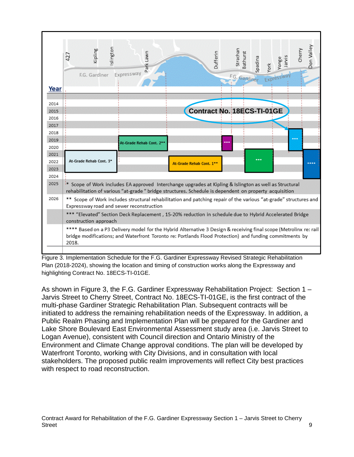

Figure 3. Implementation Schedule for the F.G. Gardiner Expressway Revised Strategic Rehabilitation Plan (2018-2024), showing the location and timing of construction works along the Expressway and highlighting Contract No. 18ECS-TI-01GE.

As shown in Figure 3, the F.G. Gardiner Expressway Rehabilitation Project: Section 1 – Jarvis Street to Cherry Street, Contract No. 18ECS-TI-01GE, is the first contract of the multi-phase Gardiner Strategic Rehabilitation Plan. Subsequent contracts will be initiated to address the remaining rehabilitation needs of the Expressway. In addition, a Public Realm Phasing and Implementation Plan will be prepared for the Gardiner and Lake Shore Boulevard East Environmental Assessment study area (i.e. Jarvis Street to Logan Avenue), consistent with Council direction and Ontario Ministry of the Environment and Climate Change approval conditions. The plan will be developed by Waterfront Toronto, working with City Divisions, and in consultation with local stakeholders. The proposed public realm improvements will reflect City best practices with respect to road reconstruction.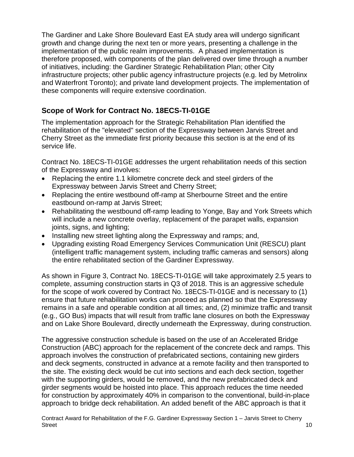The Gardiner and Lake Shore Boulevard East EA study area will undergo significant growth and change during the next ten or more years, presenting a challenge in the implementation of the public realm improvements. A phased implementation is therefore proposed, with components of the plan delivered over time through a number of initiatives, including: the Gardiner Strategic Rehabilitation Plan; other City infrastructure projects; other public agency infrastructure projects (e.g. led by Metrolinx and Waterfront Toronto); and private land development projects. The implementation of these components will require extensive coordination.

## **Scope of Work for Contract No. 18ECS-TI-01GE**

The implementation approach for the Strategic Rehabilitation Plan identified the rehabilitation of the "elevated" section of the Expressway between Jarvis Street and Cherry Street as the immediate first priority because this section is at the end of its service life.

Contract No. 18ECS-TI-01GE addresses the urgent rehabilitation needs of this section of the Expressway and involves:

- Replacing the entire 1.1 kilometre concrete deck and steel girders of the Expressway between Jarvis Street and Cherry Street;
- Replacing the entire westbound off-ramp at Sherbourne Street and the entire eastbound on-ramp at Jarvis Street;
- Rehabilitating the westbound off-ramp leading to Yonge, Bay and York Streets which will include a new concrete overlay, replacement of the parapet walls, expansion joints, signs, and lighting;
- Installing new street lighting along the Expressway and ramps; and,
- Upgrading existing Road Emergency Services Communication Unit (RESCU) plant (intelligent traffic management system, including traffic cameras and sensors) along the entire rehabilitated section of the Gardiner Expressway.

As shown in Figure 3, Contract No. 18ECS-TI-01GE will take approximately 2.5 years to complete, assuming construction starts in Q3 of 2018. This is an aggressive schedule for the scope of work covered by Contract No. 18ECS-TI-01GE and is necessary to (1) ensure that future rehabilitation works can proceed as planned so that the Expressway remains in a safe and operable condition at all times; and, (2) minimize traffic and transit (e.g., GO Bus) impacts that will result from traffic lane closures on both the Expressway and on Lake Shore Boulevard, directly underneath the Expressway, during construction.

The aggressive construction schedule is based on the use of an Accelerated Bridge Construction (ABC) approach for the replacement of the concrete deck and ramps. This approach involves the construction of prefabricated sections, containing new girders and deck segments, constructed in advance at a remote facility and then transported to the site. The existing deck would be cut into sections and each deck section, together with the supporting girders, would be removed, and the new prefabricated deck and girder segments would be hoisted into place. This approach reduces the time needed for construction by approximately 40% in comparison to the conventional, build-in-place approach to bridge deck rehabilitation. An added benefit of the ABC approach is that it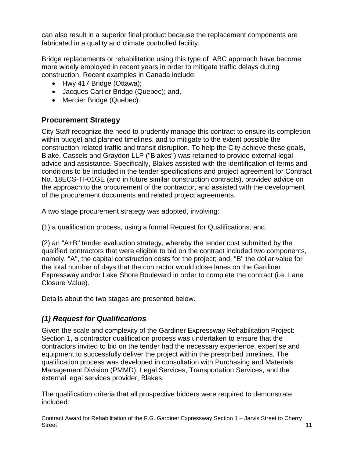can also result in a superior final product because the replacement components are fabricated in a quality and climate controlled facility.

Bridge replacements or rehabilitation using this type of ABC approach have become more widely employed in recent years in order to mitigate traffic delays during construction. Recent examples in Canada include:

- Hwy 417 Bridge (Ottawa);
- Jacques Cartier Bridge (Quebec); and,
- Mercier Bridge (Quebec).

## **Procurement Strategy**

City Staff recognize the need to prudently manage this contract to ensure its completion within budget and planned timelines, and to mitigate to the extent possible the construction-related traffic and transit disruption. To help the City achieve these goals, Blake, Cassels and Graydon LLP ("Blakes") was retained to provide external legal advice and assistance. Specifically, Blakes assisted with the identification of terms and conditions to be included in the tender specifications and project agreement for Contract No. 18ECS-TI-01GE (and in future similar construction contracts), provided advice on the approach to the procurement of the contractor, and assisted with the development of the procurement documents and related project agreements.

A two stage procurement strategy was adopted, involving:

(1) a qualification process, using a formal Request for Qualifications; and,

(2) an "A+B" tender evaluation strategy, whereby the tender cost submitted by the qualified contractors that were eligible to bid on the contract included two components, namely, "A", the capital construction costs for the project; and, "B" the dollar value for the total number of days that the contractor would close lanes on the Gardiner Expressway and/or Lake Shore Boulevard in order to complete the contract (i.e. Lane Closure Value).

Details about the two stages are presented below.

## *(1) Request for Qualifications*

Given the scale and complexity of the Gardiner Expressway Rehabilitation Project: Section 1, a contractor qualification process was undertaken to ensure that the contractors invited to bid on the tender had the necessary experience, expertise and equipment to successfully deliver the project within the prescribed timelines. The qualification process was developed in consultation with Purchasing and Materials Management Division (PMMD), Legal Services, Transportation Services, and the external legal services provider, Blakes.

The qualification criteria that all prospective bidders were required to demonstrate included:

Contract Award for Rehabilitation of the F.G. Gardiner Expressway Section 1 – Jarvis Street to Cherry Street 2008 - 11 April 2008 - 12 April 2008 - 12 April 2008 - 12 April 2008 - 12 April 2008 - 12 April 2008 - 1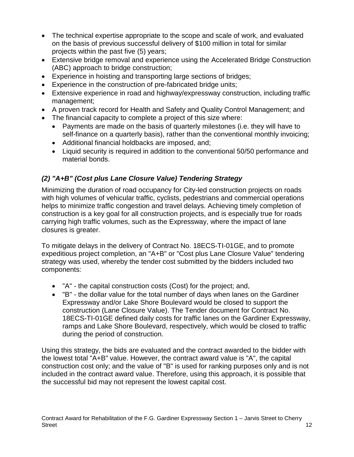- The technical expertise appropriate to the scope and scale of work, and evaluated on the basis of previous successful delivery of \$100 million in total for similar projects within the past five (5) years;
- Extensive bridge removal and experience using the Accelerated Bridge Construction (ABC) approach to bridge construction;
- Experience in hoisting and transporting large sections of bridges;
- Experience in the construction of pre-fabricated bridge units;
- Extensive experience in road and highway/expressway construction, including traffic management;
- A proven track record for Health and Safety and Quality Control Management; and
- The financial capacity to complete a project of this size where:
	- Payments are made on the basis of quarterly milestones (i.e. they will have to self-finance on a quarterly basis), rather than the conventional monthly invoicing;
	- Additional financial holdbacks are imposed, and;
	- Liquid security is required in addition to the conventional 50/50 performance and material bonds.

## *(2) "A+B" (Cost plus Lane Closure Value) Tendering Strategy*

Minimizing the duration of road occupancy for City-led construction projects on roads with high volumes of vehicular traffic, cyclists, pedestrians and commercial operations helps to minimize traffic congestion and travel delays. Achieving timely completion of construction is a key goal for all construction projects, and is especially true for roads carrying high traffic volumes, such as the Expressway, where the impact of lane closures is greater.

To mitigate delays in the delivery of Contract No. 18ECS-TI-01GE, and to promote expeditious project completion, an "A+B" or "Cost plus Lane Closure Value" tendering strategy was used, whereby the tender cost submitted by the bidders included two components:

- "A" the capital construction costs (Cost) for the project; and,
- "B" the dollar value for the total number of days when lanes on the Gardiner Expressway and/or Lake Shore Boulevard would be closed to support the construction (Lane Closure Value). The Tender document for Contract No. 18ECS-TI-01GE defined daily costs for traffic lanes on the Gardiner Expressway, ramps and Lake Shore Boulevard, respectively, which would be closed to traffic during the period of construction.

Using this strategy, the bids are evaluated and the contract awarded to the bidder with the lowest total "A+B" value. However, the contract award value is "A", the capital construction cost only; and the value of "B" is used for ranking purposes only and is not included in the contract award value. Therefore, using this approach, it is possible that the successful bid may not represent the lowest capital cost.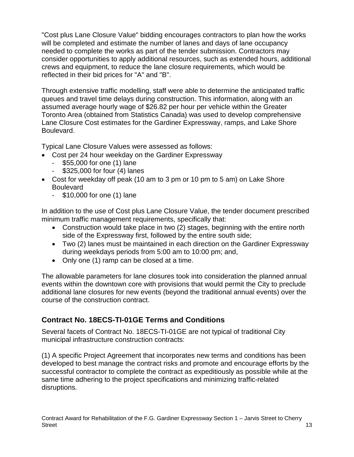"Cost plus Lane Closure Value" bidding encourages contractors to plan how the works will be completed and estimate the number of lanes and days of lane occupancy needed to complete the works as part of the tender submission. Contractors may consider opportunities to apply additional resources, such as extended hours, additional crews and equipment, to reduce the lane closure requirements, which would be reflected in their bid prices for "A" and "B".

Through extensive traffic modelling, staff were able to determine the anticipated traffic queues and travel time delays during construction. This information, along with an assumed average hourly wage of \$26.82 per hour per vehicle within the Greater Toronto Area (obtained from Statistics Canada) was used to develop comprehensive Lane Closure Cost estimates for the Gardiner Expressway, ramps, and Lake Shore Boulevard.

Typical Lane Closure Values were assessed as follows:

- Cost per 24 hour weekday on the Gardiner Expressway
	- \$55,000 for one (1) lane
	- \$325,000 for four (4) lanes
- Cost for weekday off peak (10 am to 3 pm or 10 pm to 5 am) on Lake Shore **Boulevard** 
	- \$10,000 for one (1) lane

In addition to the use of Cost plus Lane Closure Value, the tender document prescribed minimum traffic management requirements, specifically that:

- Construction would take place in two (2) stages, beginning with the entire north side of the Expressway first, followed by the entire south side;
- Two (2) lanes must be maintained in each direction on the Gardiner Expressway during weekdays periods from 5:00 am to 10:00 pm; and,
- Only one (1) ramp can be closed at a time.

The allowable parameters for lane closures took into consideration the planned annual events within the downtown core with provisions that would permit the City to preclude additional lane closures for new events (beyond the traditional annual events) over the course of the construction contract.

## **Contract No. 18ECS-TI-01GE Terms and Conditions**

Several facets of Contract No. 18ECS-TI-01GE are not typical of traditional City municipal infrastructure construction contracts:

(1) A specific Project Agreement that incorporates new terms and conditions has been developed to best manage the contract risks and promote and encourage efforts by the successful contractor to complete the contract as expeditiously as possible while at the same time adhering to the project specifications and minimizing traffic-related disruptions.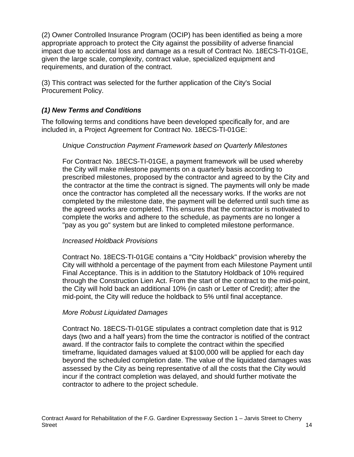(2) Owner Controlled Insurance Program (OCIP) has been identified as being a more appropriate approach to protect the City against the possibility of adverse financial impact due to accidental loss and damage as a result of Contract No. 18ECS-TI-01GE, given the large scale, complexity, contract value, specialized equipment and requirements, and duration of the contract.

(3) This contract was selected for the further application of the City's Social Procurement Policy.

#### *(1) New Terms and Conditions*

The following terms and conditions have been developed specifically for, and are included in, a Project Agreement for Contract No. 18ECS-TI-01GE:

#### *Unique Construction Payment Framework based on Quarterly Milestones*

For Contract No. 18ECS-TI-01GE, a payment framework will be used whereby the City will make milestone payments on a quarterly basis according to prescribed milestones, proposed by the contractor and agreed to by the City and the contractor at the time the contract is signed. The payments will only be made once the contractor has completed all the necessary works. If the works are not completed by the milestone date, the payment will be deferred until such time as the agreed works are completed. This ensures that the contractor is motivated to complete the works and adhere to the schedule, as payments are no longer a "pay as you go" system but are linked to completed milestone performance.

#### *Increased Holdback Provisions*

Contract No. 18ECS-TI-01GE contains a "City Holdback" provision whereby the City will withhold a percentage of the payment from each Milestone Payment until Final Acceptance. This is in addition to the Statutory Holdback of 10% required through the Construction Lien Act. From the start of the contract to the mid-point, the City will hold back an additional 10% (in cash or Letter of Credit); after the mid-point, the City will reduce the holdback to 5% until final acceptance.

#### *More Robust Liquidated Damages*

Contract No. 18ECS-TI-01GE stipulates a contract completion date that is 912 days (two and a half years) from the time the contractor is notified of the contract award. If the contractor fails to complete the contract within the specified timeframe, liquidated damages valued at \$100,000 will be applied for each day beyond the scheduled completion date. The value of the liquidated damages was assessed by the City as being representative of all the costs that the City would incur if the contract completion was delayed, and should further motivate the contractor to adhere to the project schedule.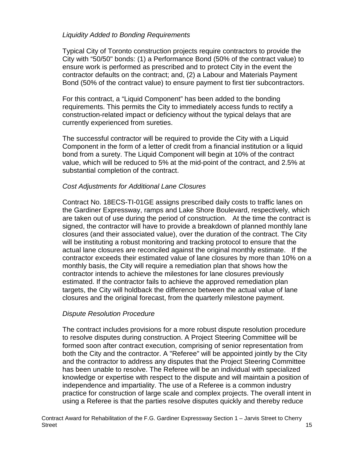#### *Liquidity Added to Bonding Requirements*

Typical City of Toronto construction projects require contractors to provide the City with "50/50" bonds: (1) a Performance Bond (50% of the contract value) to ensure work is performed as prescribed and to protect City in the event the contractor defaults on the contract; and, (2) a Labour and Materials Payment Bond (50% of the contract value) to ensure payment to first tier subcontractors.

For this contract, a "Liquid Component" has been added to the bonding requirements. This permits the City to immediately access funds to rectify a construction-related impact or deficiency without the typical delays that are currently experienced from sureties.

The successful contractor will be required to provide the City with a Liquid Component in the form of a letter of credit from a financial institution or a liquid bond from a surety. The Liquid Component will begin at 10% of the contract value, which will be reduced to 5% at the mid-point of the contract, and 2.5% at substantial completion of the contract.

#### *Cost Adjustments for Additional Lane Closures*

Contract No. 18ECS-TI-01GE assigns prescribed daily costs to traffic lanes on the Gardiner Expressway, ramps and Lake Shore Boulevard, respectively, which are taken out of use during the period of construction. At the time the contract is signed, the contractor will have to provide a breakdown of planned monthly lane closures (and their associated value), over the duration of the contract. The City will be instituting a robust monitoring and tracking protocol to ensure that the actual lane closures are reconciled against the original monthly estimate. If the contractor exceeds their estimated value of lane closures by more than 10% on a monthly basis, the City will require a remediation plan that shows how the contractor intends to achieve the milestones for lane closures previously estimated. If the contractor fails to achieve the approved remediation plan targets, the City will holdback the difference between the actual value of lane closures and the original forecast, from the quarterly milestone payment.

#### *Dispute Resolution Procedure*

The contract includes provisions for a more robust dispute resolution procedure to resolve disputes during construction. A Project Steering Committee will be formed soon after contract execution, comprising of senior representation from both the City and the contractor. A "Referee" will be appointed jointly by the City and the contractor to address any disputes that the Project Steering Committee has been unable to resolve. The Referee will be an individual with specialized knowledge or expertise with respect to the dispute and will maintain a position of independence and impartiality. The use of a Referee is a common industry practice for construction of large scale and complex projects. The overall intent in using a Referee is that the parties resolve disputes quickly and thereby reduce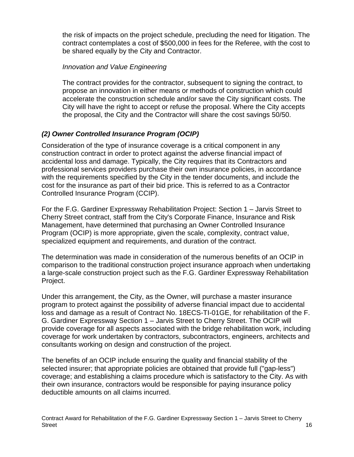the risk of impacts on the project schedule, precluding the need for litigation. The contract contemplates a cost of \$500,000 in fees for the Referee, with the cost to be shared equally by the City and Contractor.

#### *Innovation and Value Engineering*

The contract provides for the contractor, subsequent to signing the contract, to propose an innovation in either means or methods of construction which could accelerate the construction schedule and/or save the City significant costs. The City will have the right to accept or refuse the proposal. Where the City accepts the proposal, the City and the Contractor will share the cost savings 50/50.

## *(2) Owner Controlled Insurance Program (OCIP)*

Consideration of the type of insurance coverage is a critical component in any construction contract in order to protect against the adverse financial impact of accidental loss and damage. Typically, the City requires that its Contractors and professional services providers purchase their own insurance policies, in accordance with the requirements specified by the City in the tender documents, and include the cost for the insurance as part of their bid price. This is referred to as a Contractor Controlled Insurance Program (CCIP).

For the F.G. Gardiner Expressway Rehabilitation Project: Section 1 – Jarvis Street to Cherry Street contract, staff from the City's Corporate Finance, Insurance and Risk Management, have determined that purchasing an Owner Controlled Insurance Program (OCIP) is more appropriate, given the scale, complexity, contract value, specialized equipment and requirements, and duration of the contract.

The determination was made in consideration of the numerous benefits of an OCIP in comparison to the traditional construction project insurance approach when undertaking a large-scale construction project such as the F.G. Gardiner Expressway Rehabilitation Project.

Under this arrangement, the City, as the Owner, will purchase a master insurance program to protect against the possibility of adverse financial impact due to accidental loss and damage as a result of Contract No. 18ECS-TI-01GE, for rehabilitation of the F. G. Gardiner Expressway Section 1 – Jarvis Street to Cherry Street. The OCIP will provide coverage for all aspects associated with the bridge rehabilitation work, including coverage for work undertaken by contractors, subcontractors, engineers, architects and consultants working on design and construction of the project.

The benefits of an OCIP include ensuring the quality and financial stability of the selected insurer; that appropriate policies are obtained that provide full ("gap-less") coverage; and establishing a claims procedure which is satisfactory to the City. As with their own insurance, contractors would be responsible for paying insurance policy deductible amounts on all claims incurred.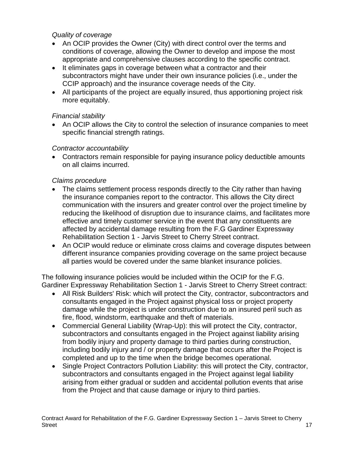#### *Quality of coverage*

- An OCIP provides the Owner (City) with direct control over the terms and conditions of coverage, allowing the Owner to develop and impose the most appropriate and comprehensive clauses according to the specific contract.
- It eliminates gaps in coverage between what a contractor and their subcontractors might have under their own insurance policies (i.e., under the CCIP approach) and the insurance coverage needs of the City.
- All participants of the project are equally insured, thus apportioning project risk more equitably.

## *Financial stability*

• An OCIP allows the City to control the selection of insurance companies to meet specific financial strength ratings.

## *Contractor accountability*

• Contractors remain responsible for paying insurance policy deductible amounts on all claims incurred.

## *Claims procedure*

- The claims settlement process responds directly to the City rather than having the insurance companies report to the contractor. This allows the City direct communication with the insurers and greater control over the project timeline by reducing the likelihood of disruption due to insurance claims, and facilitates more effective and timely customer service in the event that any constituents are affected by accidental damage resulting from the F.G Gardiner Expressway Rehabilitation Section 1 - Jarvis Street to Cherry Street contract.
- An OCIP would reduce or eliminate cross claims and coverage disputes between different insurance companies providing coverage on the same project because all parties would be covered under the same blanket insurance policies.

The following insurance policies would be included within the OCIP for the F.G. Gardiner Expressway Rehabilitation Section 1 - Jarvis Street to Cherry Street contract:

- All Risk Builders' Risk: which will protect the City, contractor, subcontractors and consultants engaged in the Project against physical loss or project property damage while the project is under construction due to an insured peril such as fire, flood, windstorm, earthquake and theft of materials.
- Commercial General Liability (Wrap-Up): this will protect the City, contractor, subcontractors and consultants engaged in the Project against liability arising from bodily injury and property damage to third parties during construction, including bodily injury and / or property damage that occurs after the Project is completed and up to the time when the bridge becomes operational.
- Single Project Contractors Pollution Liability: this will protect the City, contractor, subcontractors and consultants engaged in the Project against legal liability arising from either gradual or sudden and accidental pollution events that arise from the Project and that cause damage or injury to third parties.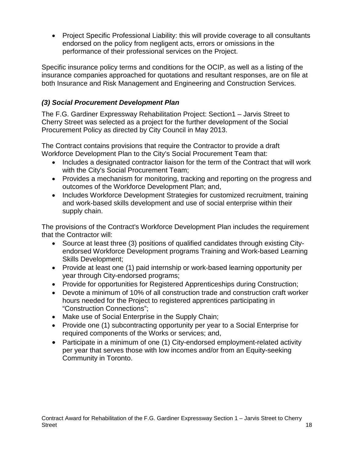• Project Specific Professional Liability: this will provide coverage to all consultants endorsed on the policy from negligent acts, errors or omissions in the performance of their professional services on the Project.

Specific insurance policy terms and conditions for the OCIP, as well as a listing of the insurance companies approached for quotations and resultant responses, are on file at both Insurance and Risk Management and Engineering and Construction Services.

## *(3) Social Procurement Development Plan*

The F.G. Gardiner Expressway Rehabilitation Project: Section1 – Jarvis Street to Cherry Street was selected as a project for the further development of the Social Procurement Policy as directed by City Council in May 2013.

The Contract contains provisions that require the Contractor to provide a draft Workforce Development Plan to the City's Social Procurement Team that:

- Includes a designated contractor liaison for the term of the Contract that will work with the City's Social Procurement Team;
- Provides a mechanism for monitoring, tracking and reporting on the progress and outcomes of the Workforce Development Plan; and,
- Includes Workforce Development Strategies for customized recruitment, training and work-based skills development and use of social enterprise within their supply chain.

The provisions of the Contract's Workforce Development Plan includes the requirement that the Contractor will:

- Source at least three (3) positions of qualified candidates through existing Cityendorsed Workforce Development programs Training and Work-based Learning Skills Development;
- Provide at least one (1) paid internship or work-based learning opportunity per year through City-endorsed programs;
- Provide for opportunities for Registered Apprenticeships during Construction;
- Devote a minimum of 10% of all construction trade and construction craft worker hours needed for the Project to registered apprentices participating in "Construction Connections";
- Make use of Social Enterprise in the Supply Chain;
- Provide one (1) subcontracting opportunity per year to a Social Enterprise for required components of the Works or services; and,
- Participate in a minimum of one (1) City-endorsed employment-related activity per year that serves those with low incomes and/or from an Equity-seeking Community in Toronto.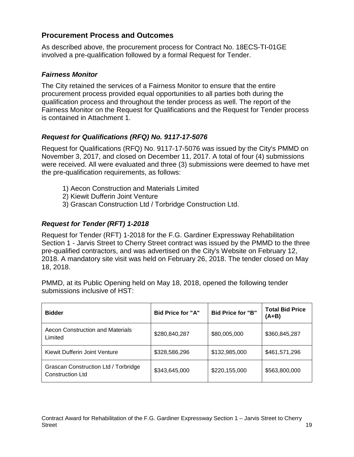## **Procurement Process and Outcomes**

As described above, the procurement process for Contract No. 18ECS-TI-01GE involved a pre-qualification followed by a formal Request for Tender.

#### *Fairness Monitor*

The City retained the services of a Fairness Monitor to ensure that the entire procurement process provided equal opportunities to all parties both during the qualification process and throughout the tender process as well. The report of the Fairness Monitor on the Request for Qualifications and the Request for Tender process is contained in Attachment 1.

#### *Request for Qualifications (RFQ) No. 9117-17-5076*

Request for Qualifications (RFQ) No. 9117-17-5076 was issued by the City's PMMD on November 3, 2017, and closed on December 11, 2017. A total of four (4) submissions were received. All were evaluated and three (3) submissions were deemed to have met the pre-qualification requirements, as follows:

- 1) Aecon Construction and Materials Limited
- 2) Kiewit Dufferin Joint Venture
- 3) Grascan Construction Ltd / Torbridge Construction Ltd.

#### *Request for Tender (RFT) 1-2018*

Request for Tender (RFT) 1-2018 for the F.G. Gardiner Expressway Rehabilitation Section 1 - Jarvis Street to Cherry Street contract was issued by the PMMD to the three pre-qualified contractors, and was advertised on the City's Website on February 12, 2018. A mandatory site visit was held on February 26, 2018. The tender closed on May 18, 2018.

PMMD, at its Public Opening held on May 18, 2018, opened the following tender submissions inclusive of HST:

| <b>Bidder</b>                                            | <b>Bid Price for "A"</b> | <b>Bid Price for "B"</b> | <b>Total Bid Price</b><br>$(A+B)$ |
|----------------------------------------------------------|--------------------------|--------------------------|-----------------------------------|
| Aecon Construction and Materials<br>Limited              | \$280,840,287            | \$80,005,000             | \$360,845,287                     |
| Kiewit Dufferin Joint Venture                            | \$328,586,296            | \$132,985,000            | \$461,571,296                     |
| Grascan Construction Ltd / Torbridge<br>Construction Ltd | \$343,645,000            | \$220,155,000            | \$563,800,000                     |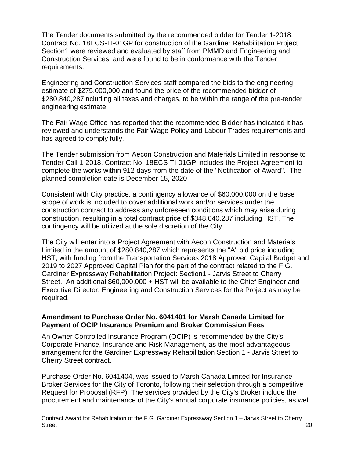The Tender documents submitted by the recommended bidder for Tender 1-2018, Contract No. 18ECS-TI-01GP for construction of the Gardiner Rehabilitation Project Section1 were reviewed and evaluated by staff from PMMD and Engineering and Construction Services, and were found to be in conformance with the Tender requirements.

Engineering and Construction Services staff compared the bids to the engineering estimate of \$275,000,000 and found the price of the recommended bidder of \$280,840,287including all taxes and charges, to be within the range of the pre-tender engineering estimate.

The Fair Wage Office has reported that the recommended Bidder has indicated it has reviewed and understands the Fair Wage Policy and Labour Trades requirements and has agreed to comply fully.

The Tender submission from Aecon Construction and Materials Limited in response to Tender Call 1-2018, Contract No. 18ECS-TI-01GP includes the Project Agreement to complete the works within 912 days from the date of the "Notification of Award". The planned completion date is December 15, 2020

Consistent with City practice, a contingency allowance of \$60,000,000 on the base scope of work is included to cover additional work and/or services under the construction contract to address any unforeseen conditions which may arise during construction, resulting in a total contract price of \$348,640,287 including HST. The contingency will be utilized at the sole discretion of the City.

The City will enter into a Project Agreement with Aecon Construction and Materials Limited in the amount of \$280,840,287 which represents the "A" bid price including HST, with funding from the Transportation Services 2018 Approved Capital Budget and 2019 to 2027 Approved Capital Plan for the part of the contract related to the F.G. Gardiner Expressway Rehabilitation Project: Section1 - Jarvis Street to Cherry Street. An additional \$60,000,000 + HST will be available to the Chief Engineer and Executive Director, Engineering and Construction Services for the Project as may be required.

#### **Amendment to Purchase Order No. 6041401 for Marsh Canada Limited for Payment of OCIP Insurance Premium and Broker Commission Fees**

An Owner Controlled Insurance Program (OCIP) is recommended by the City's Corporate Finance, Insurance and Risk Management, as the most advantageous arrangement for the Gardiner Expressway Rehabilitation Section 1 - Jarvis Street to Cherry Street contract.

Purchase Order No. 6041404, was issued to Marsh Canada Limited for Insurance Broker Services for the City of Toronto, following their selection through a competitive Request for Proposal (RFP). The services provided by the City's Broker include the procurement and maintenance of the City's annual corporate insurance policies, as well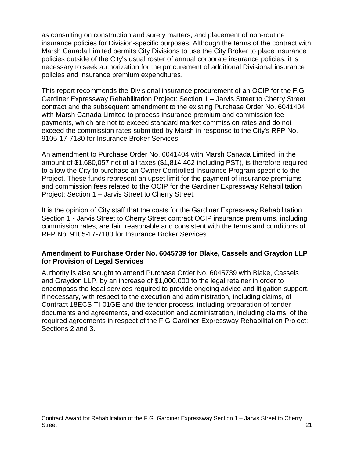as consulting on construction and surety matters, and placement of non-routine insurance policies for Division-specific purposes. Although the terms of the contract with Marsh Canada Limited permits City Divisions to use the City Broker to place insurance policies outside of the City's usual roster of annual corporate insurance policies, it is necessary to seek authorization for the procurement of additional Divisional insurance policies and insurance premium expenditures.

This report recommends the Divisional insurance procurement of an OCIP for the F.G. Gardiner Expressway Rehabilitation Project: Section 1 – Jarvis Street to Cherry Street contract and the subsequent amendment to the existing Purchase Order No. 6041404 with Marsh Canada Limited to process insurance premium and commission fee payments, which are not to exceed standard market commission rates and do not exceed the commission rates submitted by Marsh in response to the City's RFP No. 9105-17-7180 for Insurance Broker Services.

An amendment to Purchase Order No. 6041404 with Marsh Canada Limited, in the amount of \$1,680,057 net of all taxes (\$1,814,462 including PST), is therefore required to allow the City to purchase an Owner Controlled Insurance Program specific to the Project. These funds represent an upset limit for the payment of insurance premiums and commission fees related to the OCIP for the Gardiner Expressway Rehabilitation Project: Section 1 – Jarvis Street to Cherry Street.

It is the opinion of City staff that the costs for the Gardiner Expressway Rehabilitation Section 1 - Jarvis Street to Cherry Street contract OCIP insurance premiums, including commission rates, are fair, reasonable and consistent with the terms and conditions of RFP No. 9105-17-7180 for Insurance Broker Services.

#### **Amendment to Purchase Order No. 6045739 for Blake, Cassels and Graydon LLP for Provision of Legal Services**

Authority is also sought to amend Purchase Order No. 6045739 with Blake, Cassels and Graydon LLP, by an increase of \$1,000,000 to the legal retainer in order to encompass the legal services required to provide ongoing advice and litigation support, if necessary, with respect to the execution and administration, including claims, of Contract 18ECS-TI-01GE and the tender process, including preparation of tender documents and agreements, and execution and administration, including claims, of the required agreements in respect of the F.G Gardiner Expressway Rehabilitation Project: Sections 2 and 3.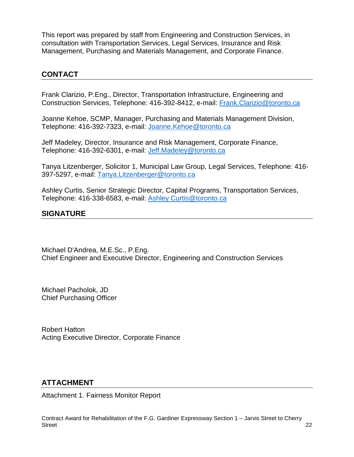This report was prepared by staff from Engineering and Construction Services, in consultation with Transportation Services, Legal Services, Insurance and Risk Management, Purchasing and Materials Management, and Corporate Finance.

## **CONTACT**

Frank Clarizio, P.Eng., Director, Transportation Infrastructure, Engineering and Construction Services, Telephone: 416-392-8412, e-mail: [Frank.Clarizio@toronto.ca](mailto:Frank.Clarizio@toronto.ca)

Joanne Kehoe, SCMP, Manager, Purchasing and Materials Management Division, Telephone: 416-392-7323, e-mail: [Joanne.Kehoe@toronto.ca](mailto:Joanne.Kehoe@toronto.ca)

Jeff Madeley, Director, Insurance and Risk Management, Corporate Finance, Telephone: 416-392-6301, e-mail: [Jeff.Madeley@toronto.ca](mailto:Jeff.Madeley@toronto.ca)

Tanya Litzenberger, Solicitor 1, Municipal Law Group, Legal Services, Telephone: 416- 397-5297, e-mail: [Tanya.Litzenberger@](mailto:Ward.Earle@toronto.ca)toronto.ca

Ashley Curtis, Senior Strategic Director, Capital Programs, Transportation Services, Telephone: 416-338-6583, e-mail: [Ashley Curtis@toronto.ca](mailto:Ashley%20Curtis@toronto.ca)

## **SIGNATURE**

Michael D'Andrea, M.E.Sc., P.Eng. Chief Engineer and Executive Director, Engineering and Construction Services

Michael Pacholok, JD Chief Purchasing Officer

Robert Hatton Acting Executive Director, Corporate Finance

#### **ATTACHMENT**

Attachment 1. Fairness Monitor Report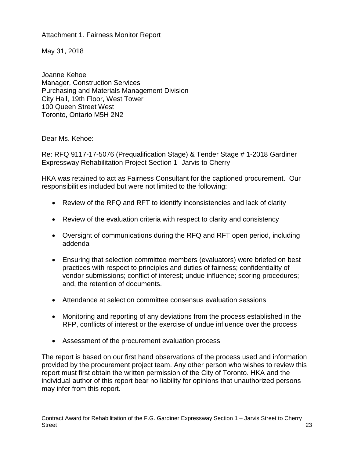Attachment 1. Fairness Monitor Report

May 31, 2018

Joanne Kehoe Manager, Construction Services Purchasing and Materials Management Division City Hall, 19th Floor, West Tower 100 Queen Street West Toronto, Ontario M5H 2N2

Dear Ms. Kehoe:

Re: RFQ 9117-17-5076 (Prequalification Stage) & Tender Stage # 1-2018 Gardiner Expressway Rehabilitation Project Section 1- Jarvis to Cherry

HKA was retained to act as Fairness Consultant for the captioned procurement. Our responsibilities included but were not limited to the following:

- Review of the RFQ and RFT to identify inconsistencies and lack of clarity
- Review of the evaluation criteria with respect to clarity and consistency
- Oversight of communications during the RFQ and RFT open period, including addenda
- Ensuring that selection committee members (evaluators) were briefed on best practices with respect to principles and duties of fairness; confidentiality of vendor submissions; conflict of interest; undue influence; scoring procedures; and, the retention of documents.
- Attendance at selection committee consensus evaluation sessions
- Monitoring and reporting of any deviations from the process established in the RFP, conflicts of interest or the exercise of undue influence over the process
- Assessment of the procurement evaluation process

The report is based on our first hand observations of the process used and information provided by the procurement project team. Any other person who wishes to review this report must first obtain the written permission of the City of Toronto. HKA and the individual author of this report bear no liability for opinions that unauthorized persons may infer from this report.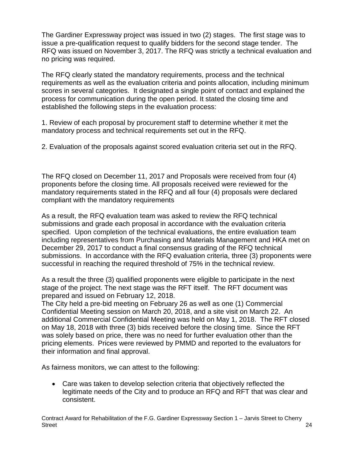The Gardiner Expressway project was issued in two (2) stages. The first stage was to issue a pre-qualification request to qualify bidders for the second stage tender. The RFQ was issued on November 3, 2017. The RFQ was strictly a technical evaluation and no pricing was required.

The RFQ clearly stated the mandatory requirements, process and the technical requirements as well as the evaluation criteria and points allocation, including minimum scores in several categories. It designated a single point of contact and explained the process for communication during the open period. It stated the closing time and established the following steps in the evaluation process:

1. Review of each proposal by procurement staff to determine whether it met the mandatory process and technical requirements set out in the RFQ.

2. Evaluation of the proposals against scored evaluation criteria set out in the RFQ.

The RFQ closed on December 11, 2017 and Proposals were received from four (4) proponents before the closing time. All proposals received were reviewed for the mandatory requirements stated in the RFQ and all four (4) proposals were declared compliant with the mandatory requirements

As a result, the RFQ evaluation team was asked to review the RFQ technical submissions and grade each proposal in accordance with the evaluation criteria specified. Upon completion of the technical evaluations, the entire evaluation team including representatives from Purchasing and Materials Management and HKA met on December 29, 2017 to conduct a final consensus grading of the RFQ technical submissions. In accordance with the RFQ evaluation criteria, three (3) proponents were successful in reaching the required threshold of 75% in the technical review.

As a result the three (3) qualified proponents were eligible to participate in the next stage of the project. The next stage was the RFT itself. The RFT document was prepared and issued on February 12, 2018.

The City held a pre-bid meeting on February 26 as well as one (1) Commercial Confidential Meeting session on March 20, 2018, and a site visit on March 22. An additional Commercial Confidential Meeting was held on May 1, 2018. The RFT closed on May 18, 2018 with three (3) bids received before the closing time. Since the RFT was solely based on price, there was no need for further evaluation other than the pricing elements. Prices were reviewed by PMMD and reported to the evaluators for their information and final approval.

As fairness monitors, we can attest to the following:

• Care was taken to develop selection criteria that objectively reflected the legitimate needs of the City and to produce an RFQ and RFT that was clear and consistent.